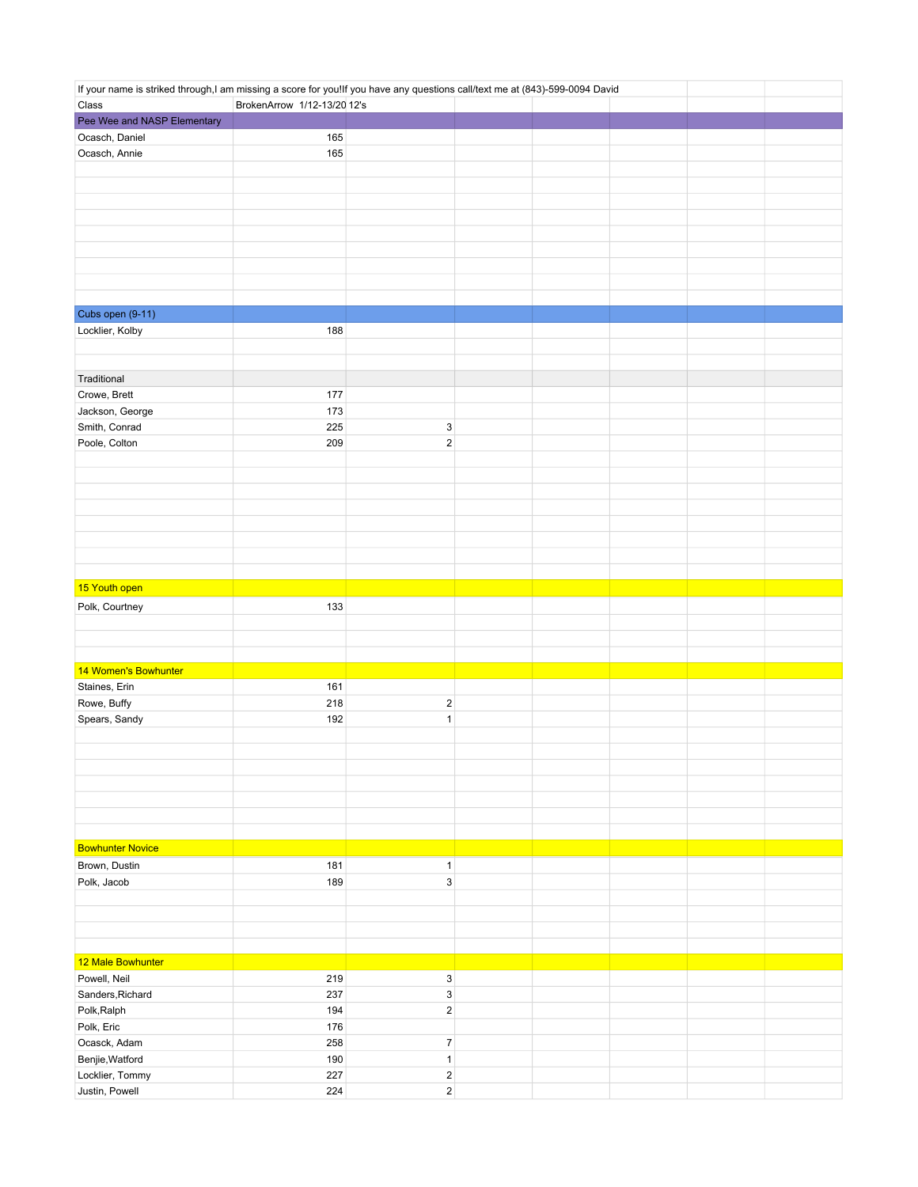| If your name is striked through,I am missing a score for you!If you have any questions call/text me at (843)-599-0094 David |                             |                           |  |  |  |
|-----------------------------------------------------------------------------------------------------------------------------|-----------------------------|---------------------------|--|--|--|
| Class                                                                                                                       | BrokenArrow 1/12-13/20 12's |                           |  |  |  |
| Pee Wee and NASP Elementary                                                                                                 |                             |                           |  |  |  |
| Ocasch, Daniel                                                                                                              | 165                         |                           |  |  |  |
| Ocasch, Annie                                                                                                               | 165                         |                           |  |  |  |
|                                                                                                                             |                             |                           |  |  |  |
|                                                                                                                             |                             |                           |  |  |  |
|                                                                                                                             |                             |                           |  |  |  |
|                                                                                                                             |                             |                           |  |  |  |
|                                                                                                                             |                             |                           |  |  |  |
|                                                                                                                             |                             |                           |  |  |  |
|                                                                                                                             |                             |                           |  |  |  |
|                                                                                                                             |                             |                           |  |  |  |
|                                                                                                                             |                             |                           |  |  |  |
|                                                                                                                             |                             |                           |  |  |  |
| Cubs open (9-11)                                                                                                            |                             |                           |  |  |  |
| Locklier, Kolby                                                                                                             | 188                         |                           |  |  |  |
|                                                                                                                             |                             |                           |  |  |  |
|                                                                                                                             |                             |                           |  |  |  |
| Traditional                                                                                                                 |                             |                           |  |  |  |
| Crowe, Brett                                                                                                                | 177                         |                           |  |  |  |
| Jackson, George                                                                                                             | 173                         |                           |  |  |  |
| Smith, Conrad                                                                                                               | 225                         | $\mathsf 3$               |  |  |  |
| Poole, Colton                                                                                                               | 209                         | $\mathbf 2$               |  |  |  |
|                                                                                                                             |                             |                           |  |  |  |
|                                                                                                                             |                             |                           |  |  |  |
|                                                                                                                             |                             |                           |  |  |  |
|                                                                                                                             |                             |                           |  |  |  |
|                                                                                                                             |                             |                           |  |  |  |
|                                                                                                                             |                             |                           |  |  |  |
|                                                                                                                             |                             |                           |  |  |  |
|                                                                                                                             |                             |                           |  |  |  |
|                                                                                                                             |                             |                           |  |  |  |
| 15 Youth open                                                                                                               |                             |                           |  |  |  |
| Polk, Courtney                                                                                                              | 133                         |                           |  |  |  |
|                                                                                                                             |                             |                           |  |  |  |
|                                                                                                                             |                             |                           |  |  |  |
|                                                                                                                             |                             |                           |  |  |  |
| 14 Women's Bowhunter                                                                                                        |                             |                           |  |  |  |
| Staines, Erin                                                                                                               | 161                         |                           |  |  |  |
| Rowe, Buffy                                                                                                                 | 218                         |                           |  |  |  |
|                                                                                                                             |                             | $\boldsymbol{2}$          |  |  |  |
| Spears, Sandy                                                                                                               | 192                         | $\mathbf{1}$              |  |  |  |
|                                                                                                                             |                             |                           |  |  |  |
|                                                                                                                             |                             |                           |  |  |  |
|                                                                                                                             |                             |                           |  |  |  |
|                                                                                                                             |                             |                           |  |  |  |
|                                                                                                                             |                             |                           |  |  |  |
|                                                                                                                             |                             |                           |  |  |  |
|                                                                                                                             |                             |                           |  |  |  |
| <b>Bowhunter Novice</b>                                                                                                     |                             |                           |  |  |  |
| Brown, Dustin                                                                                                               | 181                         | $\mathbf{1}$              |  |  |  |
| Polk, Jacob                                                                                                                 | 189                         | $\ensuremath{\mathsf{3}}$ |  |  |  |
|                                                                                                                             |                             |                           |  |  |  |
|                                                                                                                             |                             |                           |  |  |  |
|                                                                                                                             |                             |                           |  |  |  |
|                                                                                                                             |                             |                           |  |  |  |
|                                                                                                                             |                             |                           |  |  |  |
| 12 Male Bowhunter                                                                                                           |                             |                           |  |  |  |
| Powell, Neil                                                                                                                | 219                         | $\ensuremath{\mathsf{3}}$ |  |  |  |
| Sanders, Richard                                                                                                            | 237                         | 3                         |  |  |  |
| Polk, Ralph                                                                                                                 | 194                         | $\sqrt{2}$                |  |  |  |
|                                                                                                                             |                             |                           |  |  |  |
| Polk, Eric                                                                                                                  | 176                         |                           |  |  |  |
| Ocasck, Adam                                                                                                                | 258                         | $\boldsymbol{7}$          |  |  |  |
|                                                                                                                             | 190                         | $\mathbf{1}$              |  |  |  |
| Benjie, Watford<br>Locklier, Tommy                                                                                          | 227                         | $\sqrt{2}$                |  |  |  |